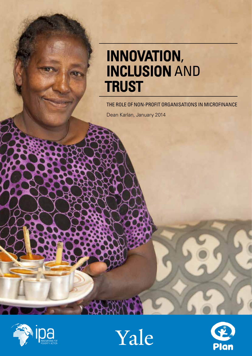# INNOVATION, INCLUSION AND **TRUST**

THE ROLE OF NON-PROFIT ORGANISATIONS IN MICROFINANCE

Dean Karlan, January 2014





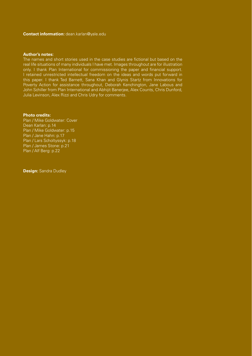#### **Contact information:** [dean.karlan@yale.edu](mailto:dean.karlan@yale.edu)

#### **Author's notes:**

The names and short stories used in the case studies are fictional but based on the real life situations of many individuals I have met. Images throughout are for illustration only. I thank Plan International for commissioning the paper and financial support. I retained unrestricted intellectual freedom on the ideas and words put forward in this paper. I thank Ted Barnett, Sana Khan and Glynis Startz from Innovations for Poverty Action for assistance throughout, Deborah Kenchington, Jane Labous and John Schiller from Plan International and Abhijit Banerjee, Alex Counts, Chris Dunford, Julia Levinson, Alex Rizzi and Chris Udry for comments.

#### **Photo credits:**

Plan / Mike Goldwater: Cover Dean Karlan: p.14 Plan / Mike Goldwater: p.15 Plan / Jane Hahn: p.17 Plan / Lars Scholtyssyk: p.18 Plan / James Stone: p.21 Plan / Alf Berg: p.22

**Design:** Sandra Dudley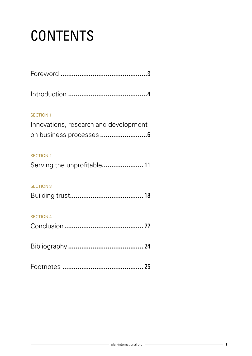# **CONTENTS**

| <b>SECTION 1</b><br>Innovations, research and development<br>on business processes 6 |
|--------------------------------------------------------------------------------------|
| <b>SECTION 2</b><br>Serving the unprofitable 11                                      |
| <b>SECTION 3</b>                                                                     |
| <b>SECTION 4</b>                                                                     |
|                                                                                      |
|                                                                                      |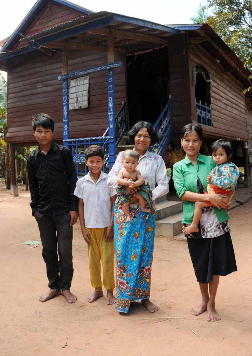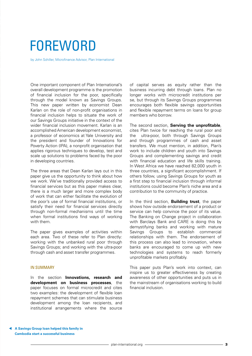## <span id="page-4-0"></span>FOREWORD

by John Schiller, Microfinance Advisor, Plan International

One important component of Plan International's overall development programme is the promotion of financial inclusion for the poor, specifically through the model known as Savings Groups. This new paper written by economist Dean Karlan on the role of non-profit organisations in financial inclusion helps to situate the work of our Savings Groups initiative in the context of the wider financial inclusion movement. Karlan is an accomplished American development economist, a professor of economics at Yale University and the president and founder of Innovations for Poverty Action (IPA), a nonprofit organisation that applies rigorous techniques to develop, test and scale up solutions to problems faced by the poor in developing countries.

The three areas that Dean Karlan lays out in this paper give us the opportunity to think about how we work. We've traditionally provided access to financial services but as this paper makes clear, there is a much larger and more complex body of work that can either facilitate the evolution of the poor's use of formal financial institutions, or satisfy their need for financial services directly through non-formal mechanisms until the time when formal institutions find ways of working with them.

The paper gives examples of activities within each area. Two of these refer to Plan directly: working with the unbanked rural poor through Savings Groups; and working with the ultra-poor through cash and asset transfer programmes.

#### IN SUMMARY

In the section **Innovations, research and development on business processes**, the paper focuses on formal microcredit and cites two examples: the development of flexible loan repayment schemes that can stimulate business development among the loan recipients, and institutional arrangements where the source of capital serves as equity rather than the business incurring debt through loans. Plan no longer works with microcredit institutions per se, but through its Savings Groups programmes encourages both flexible savings opportunities and flexible repayment terms on loans for group members who borrow.

The second section, **Serving the unprofitable**, cites Plan twice for reaching the rural poor and the ultra-poor, both through Savings Groups and through programmes of cash and asset transfers. We must mention, in addition, Plan's work to include children and youth into Savings Groups and complementing savings and credit with financial education and life skills training. In West Africa we have reached 82,000 youth in three countries, a significant accomplishment. If others follow, using Savings Groups for youth as a first step to financial inclusion through informal institutions could become Plan's niche area and a contribution to the community of practice.

In the third section, **Building trust**, the paper shows how outside endorsement of a product or service can help convince the poor of its value. The Banking on Change project in collaboration with Barclays Bank and CARE is doing this by demystifying banks and working with mature Savings Groups to establish commercial relationships with them. The endorsement of this process can also lead to innovation, where banks are encouraged to come up with new technologies and systems to reach formerly unprofitable markets profitably.

This paper puts Plan's work into context, can inspire us to greater effectiveness by creating awareness of other opportunities and puts us in the mainstream of organisations working to build financial inclusion.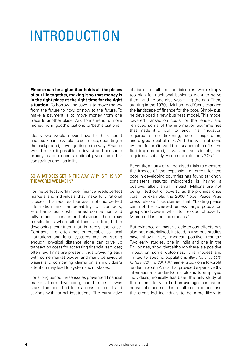# <span id="page-5-0"></span>INTRODUCTION

**Finance can be a glue that holds all the pieces of our life together, making it so that money is in the right place at the right time for the right situation.** To borrow and save is to move money from the future to now, or now to the future. To make a payment is to move money from one place to another place. And to insure is to move money from 'good' situations to 'bad' situations.

Ideally we would never have to think about finance. Finance would be seamless, operating in the background, never getting in the way. Finance would make it possible to invest and consume exactly as one deems optimal given the other constraints one has in life.

#### SO WHAT DOES GET IN THE WAY; WHY IS THIS NOT THE WORLD WE LIVE IN?

For the perfect world model, finance needs perfect markets and individuals that make fully rational choices. This requires four assumptions: perfect information and enforceability of contracts; zero transaction costs; perfect competition; and fully rational consumer behaviour. There may be situations where all of these are true, but in developing countries that is rarely the case. Contracts are often not enforceable as local institutions and legal systems are not strong enough; physical distance alone can drive up transaction costs for accessing financial services; often few firms are present, thus providing each with some market power; and many behavioural biases and competing claims on an individual's attention may lead to systematic mistakes.

For a long period these issues prevented financial markets from developing, and the result was stark: the poor had little access to credit and savings with formal institutions. The cumulative

obstacles of all the inefficiencies were simply too high for traditional banks to want to serve them, and no one else was filling the gap. Then, starting in the 1970s, Muhammad Yunus changed the landscape of finance for the poor. Simply put, he developed a new business model. This model lowered transaction costs for the lender, and removed some of the information asymmetries that made it difficult to lend. This innovation required some tinkering, some exploration, and a great deal of risk. And this was not done by the for-profit world in search of profits. As first implemented, it was not sustainable, and required a subsidy. Hence the role for NGOs.1

Recently, a flurry of randomised trials to measure the impact of the expansion of credit for the poor in developing countries has found strikingly consistent results: microcredit is having a positive, albeit small, impact. Millions are not being lifted out of poverty, as the promise once was. For example, the 2006 Nobel Peace Prize press release *(2006)* claimed that: "Lasting peace can not be achieved unless large population groups find ways in which to break out of poverty. Microcredit is one such means"

But evidence of massive deleterious effects has also not materialised, instead, numerous studies have shown very modest positive results.<sup>2</sup> Two early studies, one in India and one in the Philippines, show that although there is a positive impact on some outcomes, it is modest and limited to specific populations *(Banerjee et al. 2013; Karlan and Zinman 2011)*. An earlier study on a for-profit lender in South Africa that provided expensive (by international standards) microloans to employed individuals, ironically has been the only study of the recent flurry to find an average increase in household income. This result occurred because the credit led individuals to be more likely to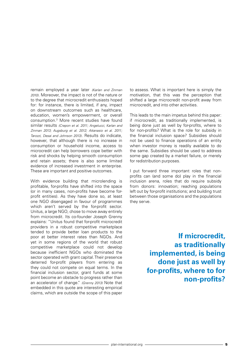remain employed a year later *(Karlan and Zinman 2010)*. Moreover, the impact is not of the nature or to the degree that microcredit enthusiasts hoped for: for instance, there is limited, if any, impact on downstream outcomes such as healthcare, education, women's empowerment, or overall consumption.3 More recent studies have found similar results *(Crepon et al. 2011; Angelucci, Karlan and Zinman 2013; Augsburg et al. 2012; Attanasio et al. 2011; Tarozzi, Desai and Johnson 2013)*. Results do indicate, however, that although there is no increase in consumption or household income, access to microcredit can help borrowers cope better with risk and shocks by helping smooth consumption and retain assets; there is also some limited evidence of increased investment in enterprise. These are important and positive outcomes.

With evidence building that microlending is profitable, for-profits have shifted into the space (or in many cases, non-profits have become forprofit entities). As they have done so, at least one NGO disengaged in favour of programmes which aren't served by the for-profit sector. Unitus, a large NGO, chose to move away entirely from microcredit. Its co-founder Joseph Grenny explains: "Unitus found that for-profit microcredit providers in a robust competitive marketplace tended to provide better loan products to the poor at better interest rates than NGOs. And yet in some regions of the world that robust competitive marketplace could not develop because inefficient NGOs who dominated the sector operated with grant capital. Their presence deterred for-profit players from entering as they could not compete on equal terms. In the financial inclusion sector, grant funds at some point become an obstacle to progress rather than an accelerator of change." *(Grenny 2013)* Note that embedded in this quote are interesting empirical claims, which are outside the scope of this paper to assess. What is important here is simply the motivation, that this was the perception that shifted a large microcredit non-profit away from microcredit, and into other activities.

This leads to the main impetus behind this paper: if microcredit, as traditionally implemented, is being done just as well by for-profits, where to for non-profits? What is the role for subsidy in the financial inclusion space? Subsidies should not be used to finance operations of an entity when investor money is readily available to do the same. Subsidies should be used to address some gap created by a market failure, or merely for redistribution purposes.

I put forward three important roles that nonprofits can (and some do) play in the financial inclusion arena, roles that do require subsidy from donors: innovation; reaching populations left out by for-profit institutions; and building trust between those organisations and the populations they serve.

> **If microcredit, as traditionally implemented, is being done just as well by for-profits, where to for non-profits?**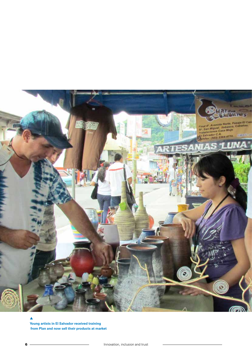

 $\blacktriangle$ **Young artists in El Salvador received training from Plan and now sell their products at market**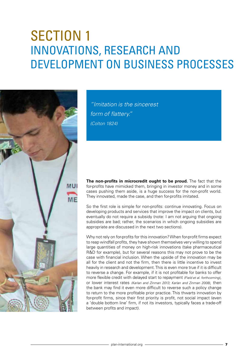## <span id="page-8-0"></span>SECTION 1 INNOVATIONS, RESEARCH AND DEVELOPMENT ON BUSINESS PROCESSES



*"Imitation is the sincerest form of flattery." (Colton 1824)*

The non-profits in microcredit ought to be proud. The fact that the for-profits have mimicked them, bringing in investor money and in some cases pushing them aside, is a huge success for the non-profit world. They innovated, made the case, and then for-profits imitated.

So the first role is simple for non-profits: continue innovating. Focus on developing products and services that improve the impact on clients, but eventually do not require a subsidy (note: I am not arquing that ongoing subsidies are bad; rather, the scenarios in which ongoing subsidies are appropriate are discussed in the next two sections).

Why not rely on for-profits for this innovation? When for-profit firms expect to reap windfall profits, they have shown themselves very willing to spend large quantities of money on high-risk innovations (take pharmaceutical R&D for example), but for several reasons this may not prove to be the case with financial inclusion. When the upside of the innovation may be all for the client and not the firm, then there is little incentive to invest heavily in research and development. This is even more true if it is difficult to reverse a change. For example, if it is not profitable for banks to offer more flexible credit with delayed start to repayment *(Field et al. forthcoming)*, or lower interest rates *(Karlan and Zinman 2013; Karlan and Zinman 2008)*, then the bank may find it even more difficult to reverse such a policy change to return to the more profitable prior practice. This thwarts innovation by for-profit firms, since their first priority is profit, not social impact (even a 'double bottom line' firm, if not its investors, typically faces a trade-off between profits and impact).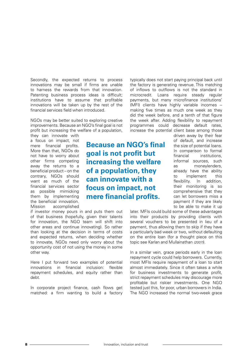Secondly, the expected returns to process innovations may be small if firms are unable to harness the rewards from that innovation. Patenting business process ideas is difficult; institutions have to assume that profitable innovations will be taken up by the rest of the financial services field when introduced.

NGOs may be better suited to exploring creative improvements. Because an NGO's final goal is not profit but increasing the welfare of a population,

they can innovate with a focus on impact, not mere financial profits. More than that, NGOs do not have to worry about other firms competing away the returns to a beneficial product – on the contrary, NGOs should want as much of the financial services sector as possible mimicking them by implementing the beneficial innovation. Mission accomplished

**Because an NGO's final goal is not profit but increasing the welfare of a population, they can innovate with a focus on impact, not mere financial profits.**

if investor money pours in and puts them out of that business (hopefully, given their talents for innovation, the NGO team will shift into other areas and continue innovating). So rather than looking at the decision in terms of costs and expected returns, when deciding whether to innovate, NGOs need only worry about the opportunity cost of not using the money in some other way.

Here I put forward two examples of potential innovations in financial inclusion: flexible repayment schedules, and equity rather than debt.

In corporate project finance, cash flows get matched: a firm wanting to build a factory typically does not start paying principal back until the factory is generating revenue. This matching of inflows to outflows is not the standard in microcredit. Loans require steady regular payments, but many microfinance institutions' (MFI) clients have highly variable incomes making five times as much one week as they did the week before, and a tenth of that figure the week after. Adding flexibility to repayment programmes could decrease default rates, increase the potential client base among those

> driven away by their fear of default, and increase the size of potential loans. In comparison to formal financial institutions, informal sources, such as moneylenders, already have the ability to implement this flexibility. In addition, their monitoring is so comprehensive that they can let borrowers miss a payment if they are likely to be able to make it up

later. MFIs could build some of these advantages into their products by providing clients with several vouchers to be presented in lieu of a payment, thus allowing them to skip if they have a particularly bad week or two, without defaulting on the entire loan (for a thought piece on this topic see Karlan and Mullainathan *(2007)*).

In a similar vein, grace periods early in the loan repayment cycle could help borrowers. Currently, most MFIs require repayment of a loan to start almost immediately. Since it often takes a while for business investments to generate profit, strict repayment schedules may discourage more profitable but riskier investments. One NGO tested just this, for poor, urban borrowers in India. The NGO increased the normal two-week grace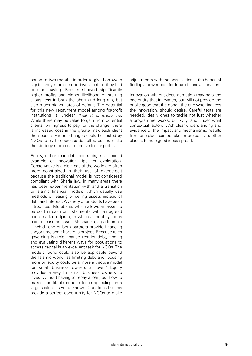period to two months in order to give borrowers significantly more time to invest before they had to start paying. Results showed significantly higher profits and higher likelihood of starting a business in both the short and long run, but also much higher rates of default. The potential for this new repayment model among for-profit institutions is unclear *(Field et al. forthcoming)*. While there may be value to gain from potential clients' willingness to pay for the change, there is increased cost in the greater risk each client then poses. Further changes could be tested by NGOs to try to decrease default rates and make the strategy more cost effective for for-profits.

Equity, rather than debt contracts, is a second example of innovation ripe for exploration. Conservative Islamic areas of the world are often more constrained in their use of microcredit because the traditional model is not considered compliant with Sharia law. In many areas there has been experimentation with and a transition to Islamic financial models, which usually use methods of leasing or selling assets instead of debt and interest. A variety of products have been introduced: Murabaha, which allows an asset to be sold in cash or instalments with an agreed upon mark-up; Ijarah, in which a monthly fee is paid to lease an asset; Musharaka, a partnership in which one or both partners provide financing and/or time and effort for a project. Because rules governing Islamic finance restrict debt, finding and evaluating different ways for populations to access capital is an excellent task for NGOs. The models found could also be applicable beyond the Islamic world, as limiting debt and focusing more on equity could be a more attractive model for small business owners all over.<sup>4</sup> Equity provides a way for small business owners to invest without having to repay a loan, but how to make it profitable enough to be appealing on a large scale is as yet unknown. Questions like this provide a perfect opportunity for NGOs to make

adjustments with the possibilities in the hopes of finding a new model for future financial services.

Innovation without documentation may help the one entity that innovates, but will not provide the public good that the donor, the one who finances the innovation, should desire. Careful tests are needed, ideally ones to tackle not just whether a programme works, but why, and under what contextual factors. With clear understanding and evidence of the impact and mechanisms, results from one place can be taken more easily to other places, to help good ideas spread.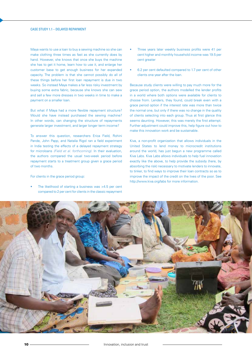#### CASE STUDY 1.1 – DELAYED REPAYMENT

Maya wants to use a loan to buy a sewing machine so she can make clothing three times as fast as she currently does by hand. However, she knows that once she buys the machine she has to get it home, learn how to use it, and enlarge her customer base to get enough business for her expanded capacity. The problem is that she cannot possibly do all of these things before her first loan repayment is due in two weeks. So instead Maya makes a far less risky investment by buying some extra fabric, because she knows she can sew and sell a few more dresses in two weeks in time to make a payment on a smaller loan.

But what if Maya had a more flexible repayment structure? Would she have instead purchased the sewing machine? In other words, can changing the structure of repayments generate larger investment, and larger longer term income?

To answer this question, researchers Erica Field, Rohini Pande, John Papp, and Natalia Rigol ran a field experiment in India testing the effects of a delayed repayment strategy for microloans *(Field et al. forthcoming)*. In their evaluation, the authors compared the usual two-week period before repayment starts to a treatment group given a grace period of two months.

For clients in the grace period group:

The likelihood of starting a business was >4.5 per cent compared to 2 per cent for clients in the classic repayment

- Three years later weekly business profits were 41 per cent higher and monthly household income was 19.5 per cent greater
- 6.2 per cent defaulted compared to 1.7 per cent of other clients one year after the loan.

Because study clients were willing to pay much more for the grace period option, the authors modelled the lender profits in a world where both options were available for clients to choose from. Lenders, they found, could break even with a grace period option if the interest rate was more than twice the normal one, but only if there was no change in the quality of clients selecting into each group. Thus at first glance this seems daunting. However, this was merely the first attempt. Further adjustment could improve this, help figure out how to make this innovation work and be sustainable.

Kiva, a non-profit organization that allows individuals in the United States to lend money to microcredit institutions around the world, has just begun a new programme called Kiva Labs. Kiva Labs allows individuals to help fuel innovation exactly like the above, to help provide the subsidy (here, by absorbing the risk) necessary to motivate lenders to innovate, to tinker, to find ways to improve their loan contracts so as to improve the impact of the credit on the lives of the poor. See <http://www.kiva.org/labs>for more information.

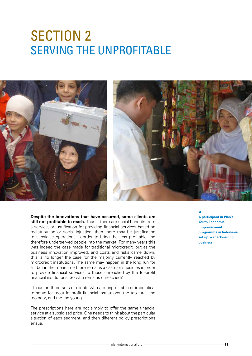### <span id="page-12-0"></span>SECTION 2 SERVING THE UNPROFITABLE



**Despite the innovations that have occurred, some clients are still not profitable to reach.** Thus if there are social benefits from a service, or justification for providing financial services based on redistribution or social injustice, then there may be justification to subsidise operations in order to bring the less profitable and therefore underserved people into the market. For many years this was indeed the case made for traditional microcredit, but as the business innovation improved, and costs and risks came down, this is no longer the case for the majority currently reached by microcredit institutions. The same may happen in the long run for all, but in the meantime there remains a case for subsidies in order to provide financial services to those unreached by the for-profit financial institutions. So who remains unreached?

I focus on three sets of clients who are unprofitable or impractical to serve for most for-profit financial institutions: the too rural, the too poor, and the too young.

The prescriptions here are not simply to offer the same financial service at a subsidised price. One needs to think about the particular situation of each segment, and then different policy prescriptions ensue.

 $\blacktriangle$ 

**A participant in Plan's Youth Economic Empowerment programme in Indonesia set up a snack-selling business**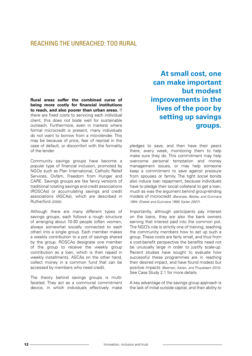### REACHING THE UNREACHED: TOO RURAL

**Rural areas suffer the combined curse of being more costly for financial institutions to reach, and also poorer than urban areas.** If there are fixed costs to servicing each individual client, this does not bode well for sustainable outreach. Furthermore, even in markets where formal microcredit is present, many individuals do not want to borrow from a microlender. This may be because of price, fear of reprisal in the case of default, or discomfort with the formality of the lender.

Community savings groups have become a popular type of financial inclusion, promoted by NGOs such as Plan International, Catholic Relief Services, Oxfam, Freedom from Hunger and CARE. Savings groups are like fancy versions of traditional rotating savings and credit associations (ROSCAs) or accumulating savings and credit associations (ASCAs), which are described in Rutherford *(2000)*.

Although there are many different types of savings groups, each follows a rough structure of arranging about 10-30 people (often women, always somewhat socially connected to each other) into a single group. Each member makes a weekly contribution to a pot of savings shared by the group. ROSCAs designate one member of the group to receive the weekly group contribution as a loan, which is then repaid in weekly installments. ASCAs on the other hand, collect money in a common fund that can be accessed by members who need credit.

The theory behind savings groups is multifaceted. They act as a communal commitment device, in which individuals effectively make

**At small cost, one can make important but modest improvements in the lives of the poor by setting up savings groups.**

pledges to save, and then have their peers there, every week, monitoring them to help make sure they do. This commitment may help overcome personal temptation and money management issues, or may help someone keep a commitment to save against pressure from spouses or family. The tight social bonds also induce loan repayment, because individuals have to pledge their social collateral to get a loan, much as was the argument behind group-lending models of microcredit *(Banerjee, Besley, and Guinnane 1994; Ghatak and Guinnane 1999; Karlan 2007)*.

Importantly, although participants pay interest on the loans, they are also the bank owners earning that interest paid into the common pot. The NGO's role is strictly one of training, teaching the community members how to set up such a group. These costs are fairly small, and thus from a cost-benefit perspective the benefits need not be unusually large in order to justify scale-up. Recent studies have sought to evaluate how successful these programmes are in reaching their desired impact, and have found modest but positive impacts *(Beaman, Karlan, and Thuysbaert 2013)*. See Case Study 2.1 for more details.

A key advantage of the savings group approach is the lack of initial outside capital, and their ability to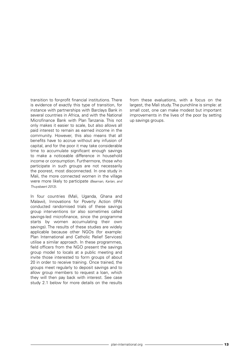transition to for-profit financial institutions. There is evidence of exactly this type of transition, for instance with partnerships with Barclays Bank in several countries in Africa, and with the National Microfinance Bank with Plan Tanzania. This not only makes it easier to scale, but also allows all paid interest to remain as earned income in the community. However, this also means that all benefits have to accrue without any infusion of capital, and for the poor it may take considerable time to accumulate significant enough savings to make a noticeable difference in household income or consumption. Furthermore, those who participate in such groups are not necessarily the poorest, most disconnected. In one study in Mali, the more connected women in the village were more likely to participate *(Beaman, Karlan, and Thuysbaert 2013)*.

In four countries (Mali, Uganda, Ghana and Malawi), Innovations for Poverty Action (IPA) conducted randomised trials of these savings group interventions (or also sometimes called savings-led microfinance, since the programme starts by women accumulating their own savings). The results of these studies are widely applicable because other NGOs (for example: Plan International and Catholic Relief Services) utilise a similar approach. In these programmes, field officers from the NGO present the savings group model to locals at a public meeting and invite those interested to form groups of about 20 in order to receive training. Once trained, the groups meet regularly to deposit savings and to allow group members to request a loan, which they will then pay back with interest. See case study 2.1 below for more details on the results

from these evaluations, with a focus on the largest, the Mali study. The punchline is simple: at small cost, one can make modest but important improvements in the lives of the poor by setting up savings groups.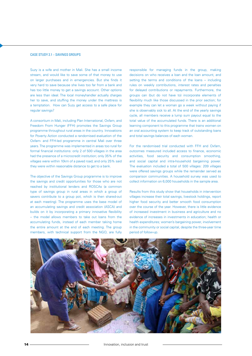#### CASE STUDY 2.1 – SAVINGS GROUPS

Suzy is a wife and mother in Mali. She has a small income stream, and would like to save some of that money to use on larger purchases and in emergencies. But she finds it very hard to save because she lives too far from a bank and has too little money to get a savings account. Other options are less than ideal. The local moneyhandler actually charges her to save, and stuffing the money under the mattress is a temptation. How can Suzy get access to a safe place for regular savings?

A consortium in Mali, including Plan International, Oxfam, and Freedom From Hunger (FFH) promotes the Savings Group programme throughout rural areas in the country. Innovations for Poverty Action conducted a randomised evaluation of the Oxfam- and FFH-led programme in central Mali over three years. The programme was implemented in areas too rural for formal financial institutions: only 2 of 500 villages in the area had the presence of a microcredit institution; only 35% of the villages were within 10km of a paved road; and only 25% said they were within reasonable distance to get to a bank.

The objective of the Savings Group programme is to improve the savings and credit opportunities for those who are not reached by institutional lenders and ROSCAs (a common type of savings group in rural areas in which a group of savers contribute to a group pot, which is then shared-out at each meeting). The programme uses the base model of an accumulating savings and credit association (ASCA) and builds on it by incorporating a primary innovative flexibility – the model allows members to take out loans from the accumulating funds, instead of each member taking home the entire amount at the end of each meeting. The group members, with technical support from the NGO, are fully

responsible for managing funds in the group, making decisions on who receives a loan and the loan amount, and setting the terms and conditions of the loans – including rules on weekly contributions, interest rates and penalties for delayed contributions or repayments. Furthermore, the groups can (but do not have to) incorporate elements of flexibility much like those discussed in the prior section; for example they can let a woman go a week without paying if she is observably sick to all. At the end of the yearly savings cycle, all members receive a lump sum payout equal to the total value of the accumulated funds. There is an additional learning component to this programme that trains women on an oral accounting system to keep track of outstanding loans and total savings balances of each woman.

For the randomised trial conducted with FFH and Oxfam, outcomes measured included access to finance, economic activities, food security and consumption smoothing, and social capital and intra-household bargaining power. The evaluation included a total of 500 villages: 209 villages were offered savings groups while the remainder served as comparison communities. A household survey was used to collect information on 6,000 households in the sample area.

Results from this study show that households in intervention villages increase their total savings, livestock holdings, report higher food security and better smooth food consumption over the course of the year. However, there is little evidence of increased investment in business and agriculture and no evidence of increases in investments in education; health or health expenditures; women's bargaining power, involvement in the community or social capital, despite the three-year time period of follow-up.

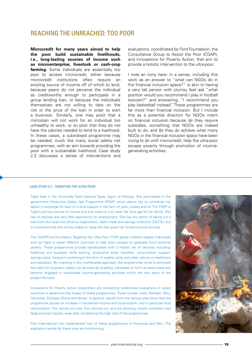### REACHING THE UNREACHED: TOO POOR

**Microcredit for many years aimed to help the poor build sustainable livelihoods, i.e., long-lasting sources of income such as microenterprise, livestock or cash-crop farming.** Some individuals are essentially too poor to access microcredit, either because microcredit institutions often require an existing source of income off of which to lend, because peers do not perceive the individual as creditworthy enough to participate in a group lending loan, or because the individuals themselves are not willing to take on the risk or the price of the loan in order to start a business. Similarly, one may posit that a microloan will not work for an individual too unhealthy to work, or so poor that they do not have the calories needed to tend to a livelihood. In these cases, a subsidised programme may be needed, much like many social safety net programmes, with an aim towards providing the poor with a sustainable livelihood. Case study 2.2 discusses a series of interventions and evaluations, coordinated by Ford Foundation, the Consultative Group to Assist the Poor (CGAP), and Innovations for Poverty Action, that aim to provide a holistic intervention to the ultra-poor.

I note an irony here: in a sense, including this work as an answer to "what can NGOs do in the financial inclusion space?" is akin to having a very tall person with clumsy feet ask "what position would you recommend I play in football (soccer)?" and answering, "I recommend you play basketball instead." These programmes are far more than financial inclusion. But I include this as a potential direction for NGOs intent on financial inclusion because (a) they require subsidies, something that NGOs are indeed built to do, and (b) they do achieve what many NGOs in the financial inclusion space have been *trying* to do with microcredit: help the ultra-poor escape poverty through promotion of incomegenerating activities.

#### CASE STUDY 2.2 – TARGETING THE ULTRA POOR

Tigist lives in the chronically food insecure Tigray region of Ethiopia. She participates in the government Productive Safety Net Programme (PSNP) which allows her to contribute her labour in exchange for cash or in-kind support in the form of grain, pulses and oil. The PSNP is Tigist's primary source of income and she relies on it to meet the food gap for her family. She has no savings and very little opportunity for employment. She has the option of taking out a loan from the local microfinance organisation, debit credit and savings institution (DECSI), but is concerned that she will be unable to repay the loan given her limited income sources.

The CGAP/Ford Foundation Targeting the Ultra Poor (TUP) global initiative targets individuals such as Tigist in seven different countries to help them escape (or graduate from) extreme poverty. These programmes provide beneficiaries with a holistic set of services including: livelihood and business skills training, productive asset transfers, consumption support, savings plans, frequent monitoring in the form of weekly visits, and often, advice on healthcare and education. By investing in this multifaceted approach, the programmes strive to eliminate the need for long-term safety net services by enabling individuals to form an asset base and become engaged in sustainable income-generating activities within the two years of the project life cycle.

Innovations for Poverty Action researchers are conducting randomised evaluations in seven countries to determine the impact of these programmes. These include: India, Pakistan, Peru, Honduras, Ethiopia, Ghana and Yemen. In general, results from the various sites show that the programme causes an increase in household income and consumption, and in particular food consumption. The results are now first coming out, and are showing mostly consistent and large positive impacts, even after considering the high cost of the programmes.

Plan International has implemented two of these programmes in Honduras and Peru. The evaluation results for these sites are forthcoming.

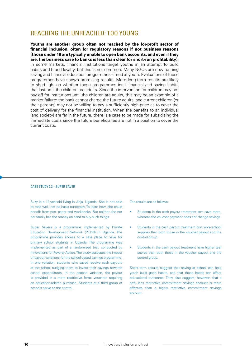### REACHING THE UNREACHED: TOO YOUNG

**Youths are another group often not reached by the for-profit sector of financial inclusion, often for regulatory reasons if not business reasons (those under 18 are typically unable to open bank accounts, and even if they are, the business case to banks is less than clear for short-run profitability).**  In some markets, financial institutions target youths in an attempt to build habits and brand loyalty, but this is not common. Many NGOs are now running saving and financial education programmes aimed at youth. Evaluations of these programmes have shown promising results. More long-term results are likely to shed light on whether these programmes instil financial and saving habits that last until the children are adults. Since the intervention for children may not pay off for institutions until the children are adults, this may be an example of a market failure: the bank cannot charge the future adults, and current children (or their parents) may not be willing to pay a sufficiently high price as to cover the cost of delivery for the financial institution. When the benefits to an individual (and society) are far in the future, there is a case to be made for subsidising the immediate costs since the future beneficiaries are not in a position to cover the current costs.

#### CASE STUDY 2.3 – SUPER SAVER

Suzy is a 12-year-old living in Jinja, Uganda. She is not able to read well, nor do basic numeracy. To learn how, she could benefit from pen, paper and workbooks. But neither she nor her family has the money on hand to buy such things.

Super Savers is a programme implemented by Private Education Development Network (PEDN) in Uganda. The programme provides access to a safe place to save for primary school students in Uganda. The programme was implemented as part of a randomised trial, conducted by Innovations for Poverty Action. The study assesses the impact of payout variations for the school-based savings programme. In one variation, students who saved receive cash payouts at the school nudging them to invest their savings towards school expenditures. In the second variation, the payout is provided in a more restrictive form: vouchers requiring an education-related purchase. Students at a third group of schools serve as the control.

The results are as follows:

- Students in the cash payout treatment arm save more, whereas the voucher payment does not change savings.
- Students in the cash payout treatment buy more school supplies than both those in the voucher payout and the control group.
- Students in the cash payout treatment have higher test scores than both those in the voucher payout and the control group.

Short term results suggest that saving at school can help youth build good habits, and that those habits can affect educational outcomes. They also suggest, however, that a soft, less restrictive commitment savings account is more effective than a highly restrictive commitment savings account.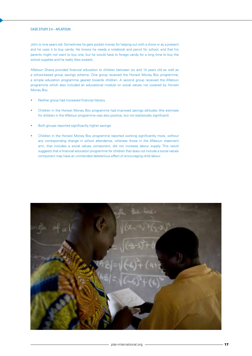#### CASE STUDY 2.4 – AFLATOUN

John is nine years old. Sometimes he gets pocket money for helping out with a chore or as a present and he uses it to buy candy. He knows he needs a notebook and pencil for school, and that his parents might not want to buy one, but he would have to forego candy for a long time to buy the school supplies and he really likes sweets.

Aflatoun Ghana provided financial education to children between six and 14 years old as well as a school-based group savings scheme. One group received the Honest Money Box programme, a simple education programme geared towards children. A second group received the Aflatoun programme which also included an educational module on social values not covered by Honest Money Box.

- Neither group had increased financial literacy
- Children in the Honest Money Box programme had improved savings attitudes (the estimate for children in the Aflatoun programme was also positive, but not statistically significant)
- Both groups reported significantly higher savings
- Children in the Honest Money Box programme reported working significantly more, without any corresponding change in school attendance, whereas those in the Aflatoun treatment arm, that includes a social values component, did not increase labour supply. This result suggests that a financial education programme for children that does not include a social values component may have an unintended deleterious effect of encouraging child labour.

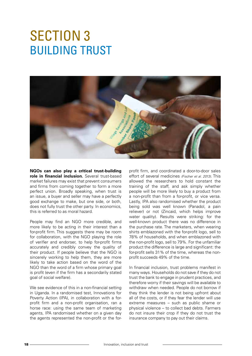### <span id="page-19-0"></span>SECTION 3 BUILDING TRUST



**NGOs can also play a critical trust-building role in financial inclusion.** Several trust-based market failures may exist that prevent consumers and firms from coming together to form a more perfect union. Broadly speaking, when trust is an issue, a buyer and seller may have a perfectly good exchange to make, but one side, or both, does not fully trust the other party. In economics, this is referred to as moral hazard.

People may find an NGO more credible, and more likely to be acting in their interest than a for-profit firm. This suggests there may be room for collaboration, with the NGO playing the role of verifier and endorser, to help for-profit firms accurately and credibly convey the quality of their product. If people believe that the NGO is sincerely working to help them, they are more likely to take action based on the word of the NGO than the word of a firm whose primary goal is profit (even if the firm has a secondarily stated goal of social welfare).

We see evidence of this in a non-financial setting in Uganda. In a randomised test, Innovations for Poverty Action (IPA), in collaboration with a forprofit firm and a non-profit organisation, ran a horse race: using the same team of marketing agents, IPA randomised whether on a given day the agents represented the non-profit or the forprofit firm, and coordinated a door-to-door sales effort of several medicines *(Fischer et al. 2013)*. This allowed the researchers to hold constant the training of the staff, and ask simply whether people will be more likely to buy a product from a non-profit than from a for-profit, or vice versa. Lastly, IPA also randomised whether the product being sold was well known (Panadol, a pain reliever) or not (Zincaid, which helps improve water quality). Results were striking: for the well-known product there was no difference in the purchase rate. The marketers, when wearing shirts emblazoned with the for-profit logo, sell to 78% of households, and when emblazoned with the non-profit logo, sell to 79%. For the unfamiliar product the difference is large and significant: the for-profit sells 31% of the time, whereas the nonprofit succeeds 49% of the time.

In financial inclusion, trust problems manifest in many ways. Households do not save if they do not trust the bank to engage in prudent practices, and therefore worry if their savings will be available to withdraw when needed. People do not borrow if they think the lender is not being upfront about all of the costs, or if they fear the lender will use extreme measures – such as public shame or physical violence – to collect bad debts. Farmers do not insure their crop if they do not trust the insurance company to pay out their claims.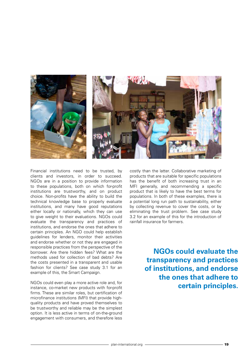

Financial institutions need to be trusted, by clients and investors, in order to succeed. NGOs are in a position to provide information to these populations, both on which for-profit institutions are trustworthy, and on product choice. Non-profits have the ability to build the technical knowledge base to properly evaluate institutions, and many have good reputations either locally or nationally, which they can use to give weight to their evaluations. NGOs could evaluate the transparency and practices of institutions, and endorse the ones that adhere to certain principles. An NGO could help establish guidelines for lenders, monitor their activities and endorse whether or not they are engaged in responsible practices from the perspective of the borrower. Are there hidden fees? What are the methods used for collection of bad debts? Are the costs presented in a transparent and usable fashion for clients? See case study 3.1 for an example of this, the Smart Campaign.

NGOs could even play a more active role and, for instance, co-market new products with for-profit firms. These are similar roles, but certification of microfinance institutions (MFI) that provide highquality products and have proved themselves to be trustworthy and reliable may be the simplest option. It is less active in terms of on-the-ground engagement with consumers, and therefore less

costly than the latter. Collaborative marketing of products that are suitable for specific populations has the benefit of both increasing trust in an MFI generally, and recommending a specific product that is likely to have the best terms for populations. In both of these examples, there is a potential long run path to sustainability, either by collecting revenue to cover the costs, or by eliminating the trust problem. See case study 3.2 for an example of this for the introduction of rainfall insurance for farmers.

> **NGOs could evaluate the transparency and practices of institutions, and endorse the ones that adhere to certain principles.**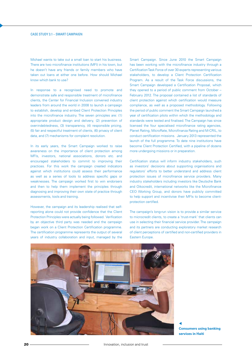Michael wants to take out a small loan to start his business. There are two microfinance institutions (MFI) in his town, but he doesn't have any friends or family members who have taken out loans at either one before. How should Michael know which bank to use?

In response to a recognised need to promote and demonstrate safe and responsible treatment of microfinance clients, the Center for Financial Inclusion convened industry leaders from around the world in 2008 to launch a campaign to establish, develop and embed [Client Protection Principles](http://www.smartcampaign.org/about-the-campaign/smart-microfinance-and-the-client-protection-principles)  into the microfinance industry. The seven principles are: (1) appropriate product design and delivery, (2) prevention of over-indebtedness, (3) transparency, (4) responsible pricing, (5) fair and respectful treatment of clients, (6) privacy of client data, and (7) mechanisms for complaint resolution.

In its early years, the Smart Campaign worked to raise awareness on the importance of client protection among MFIs, investors, national associations, donors etc. and encouraged stakeholders to commit to improving their practices. For this work the campaign created indicators against which institutions could assess their performance as well as a series of tools to address specific gaps or weaknesses. The campaign worked first to win endorsers and then to help them implement the principles through diagnosing and improving their own state of practice through assessments, tools and training.

However, the campaign and its leadership realised that selfreporting alone could not provide confidence that the Client Protection Principles were actually being followed. Verification by an objective third party was needed and the campaign began work on a Client Protection Certification programme. The certification programme represents the output of several years of industry collaboration and input, managed by the

Smart Campaign. Since June 2010 the Smart Campaign has been working with the microfinance industry through a Certification Task Force of over 30 experts representing various stakeholders, to develop a Client Protection Certification Program. As a result of the Task Force discussions, the Smart Campaign developed a Certification Proposal, which they opened to a period of public comment from October – February 2012. The proposal contained a list of standards of client protection against which certification would measure compliance, as well as a proposed methodology. Following the period of public comment the Smart Campaign launched a year of certification pilots within which the methodology and standards were tested and finalised. The Campaign has since licensed the four specialised microfinance rating agencies, Planet Rating, MicroRate, Microfinanza Rating and M-CRIL, to conduct certification missions. January 2013 represented the launch of the full programme. To date nine institutions have become Client Protection Certified, with a pipeline of dozens more undergoing missions or in preparation.

Certification status will inform industry stakeholders, such as investors' decisions about supporting organisations and regulators' efforts to better understand and address client protection issues of microfinance service providers. Many industry stakeholders including investors like Deutsche Bank and Oikocredit, international networks like the Microfinance CEO Working Group, and donors have publicly committed to help support and incentivise their MFIs to become clientprotection certified.

The campaign's long-run vision is to provide a similar service to microcredit clients, to create a 'trust-mark' that clients can use in selecting their financial service provider. The campaign and its partners are conducting exploratory market research of client perceptions of certified and non-certified providers in Eastern Europe.



**Consumers using banking services in Haiti**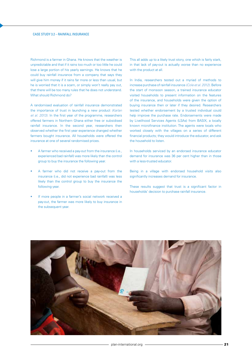#### CASE STUDY 3.2 – RAINFALL INSURANCE

Richmond is a farmer in Ghana. He knows that the weather is unpredictable and that if it rains too much or too little he could lose a large portion of his yearly earnings. He knows that he could buy rainfall insurance from a company that says they will give him money if it rains far more or less than usual, but he is worried that it is a scam, or simply won't really pay out, that there will be too many rules that he does not understand. What should Richmond do?

A randomised evaluation of rainfall insurance demonstrated the importance of trust in launching a new product *(Karlan et al. 2013)*. In the first year of the programme, researchers offered farmers in Northern Ghana either free or subsidised rainfall insurance. In the second year, researchers then observed whether the first year experience changed whether farmers bought insurance. All households were offered the insurance at one of several randomised prices.

- A farmer who received a pay-out from the insurance (i.e., experienced bad rainfall) was more likely than the control group to buy the insurance the following year.
- A farmer who did not receive a pay-out from the insurance (i.e., did not experience bad rainfall) was less likely than the control group to buy the insurance the following year.
- If more people in a farmer's social network received a pay-out, the farmer was more likely to buy insurance in the subsequent year.

This all adds up to a likely trust story, one which is fairly stark, in that lack of pay-out is actually worse than no experience with the product at all.

In India, researchers tested out a myriad of methods to increase purchase of rainfall insurance *(Cole et al. 2012)*. Before the start of monsoon season, a trained insurance educator visited households to present information on the features of the insurance, and households were given the option of buying insurance then or later if they desired. Researchers tested whether endorsement by a trusted individual could help improve the purchase rate. Endorsements were made by Livelihood Services Agents (LSAs) from BASIX, a locally known microfinance institution. The agents were locals who worked closely with the villages on a series of different financial products; they would introduce the educator, and ask the household to listen.

In households serviced by an endorsed insurance educator demand for insurance was 36 per cent higher than in those with a less-trusted educator.

Being in a village with endorsed household visits also significantly increases demand for insurance.

These results suggest that trust is a significant factor in households' decision to purchase rainfall insurance.

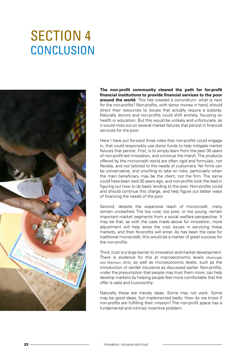## <span id="page-23-0"></span>SECTION 4 **CONCLUSION**



**The non-profit community cleared the path for for-profit financial institutions to provide financial services to the poor around the world.** This has created a conundrum: what is next for the non-profits? Non-profits, with donor money in hand, should direct their resources to issues that actually require a subsidy. Naturally donors and non-profits could shift entirely, focusing on health or education. But this would be unlikely and unfortunate, as it would miss out on several market failures that persist in financial services for the poor.

Here I have put forward three roles that non-profits could engage in, that could responsibly use donor funds to help mitigate market failures that persist. First, is to simply learn from the past 30 years of non-profit-led innovation, and continue the march. The products offered by the microcredit world are often rigid and formulaic, not flexible, and not tailored to the needs of customers. Yet firms can be conservative, and unwilling to take on risks, particularly when the main beneficiary may be the client, not the firm. The same could have been said 30 years ago, and non-profits took the lead in figuring out how to do basic lending to the poor. Non-profits could and should continue this charge, and help figure out better ways of financing the needs of the poor.

Second, despite the expansive reach of microcredit, many remain unreached. The too rural, too poor, or too young, remain important market segments from a social welfare perspective. It may be that, as with the case made above for innovation, more adjustment will help solve the cost issues in servicing these markets, and then for-profits will enter. As has been the case for traditional microcredit, this would be a marker of great success for the non-profits.

Third, trust is a large barrier to innovation and market development. There is evidence for this at macroeconomic levels *(Acemoglu and Robinson 2012)*, as well as microeconomic levels, such as the introduction of rainfall insurance as discussed earlier. Non-profits, under the presumption that people may trust them more, can help develop markets by helping people feel more comfortable that the offer is valid and trustworthy.

Naturally these are merely ideas. Some may not work. Some may be good ideas, but implemented badly. How do we know if non-profits are fulfilling their mission? The non-profit space has a fundamental and intrinsic incentive problem.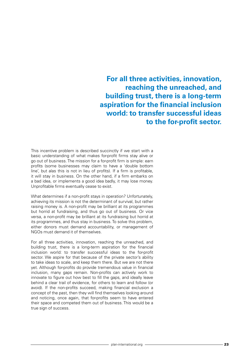**For all three activities, innovation, reaching the unreached, and building trust, there is a long-term aspiration for the financial inclusion world: to transfer successful ideas to the for-profit sector.** 

This incentive problem is described succinctly if we start with a basic understanding of what makes for-profit firms stay alive or go out of business. The mission for a for-profit firm is simple: earn profits (some businesses may claim to have a 'double bottom line', but alas this is not in lieu of profits). If a firm is profitable, it will stay in business. On the other hand, if a firm embarks on a bad idea, or implements a good idea badly, it may lose money. Unprofitable firms eventually cease to exist.

What determines if a non-profit stays in operation? Unfortunately, achieving its mission is not the determinant of survival, but rather raising money is. A non-profit may be brilliant at its programmes but horrid at fundraising, and thus go out of business. Or vice versa, a non-profit may be brilliant at its fundraising but horrid at its programmes, and thus stay in business. To solve this problem, either donors must demand accountability, or management of NGOs must demand it of themselves.

For all three activities, innovation, reaching the unreached, and building trust, there is a long-term aspiration for the financial inclusion world: to transfer successful ideas to the for-profit sector. We aspire for that because of the private sector's ability to take ideas to scale, and keep them there. But we are not there yet. Although for-profits do provide tremendous value in financial inclusion, many gaps remain. Non-profits can actively work to innovate to figure out how best to fill the gaps, and ideally leave behind a clear trail of evidence, for others to learn and follow (or avoid). If the non-profits succeed, making financial exclusion a concept of the past, then they will find themselves looking around and noticing, once again, that for-profits seem to have entered their space and competed them out of business. This would be a true sign of success.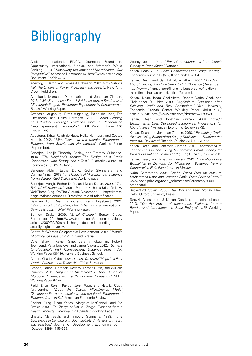# <span id="page-25-0"></span>**Bibliography**

Accion International, FINCA, Grameen Foundation, Opportunity International, Unitus, and Women's World Banking. 2013. "*Measuring the Impact of Microfinance: Our Perspective*." Accessed December 14. [http://www.accion.org/](http://www.accion.org/Document.Doc?id=794) [Document.Doc?id=794.](http://www.accion.org/Document.Doc?id=794)

Acemoglu, Daron, and James A Robinson. 2012. *Why Nations Fail: The Origins of Power, Prosperity, and Poverty*. New York: Crown Publishers.

Angelucci, Manuela, Dean Karlan, and Jonathan Zinman. 2013. "*Win Some Lose Some? Evidence from a Randomized Microcredit Program Placement Experiment by Compartamos Banco.*" Working Paper.

Attanasio, Augsburg, Britta Augsburg, Ralph de Haas, Fitz Fitzsimons, and Heike Harmgart. 2011. "*Group Lending or Individual Lending? Evidence from a Randomised Field Experiment in Mongolia.*" EBRD Working Paper 136 (December).

Augsburg, Britta, Ralph de Haas, Heike Harmgart, and Costas Meghir. 2012. "*Microfinance at the Margin: Experimental Evidence from Bosnia and Herzegovina*." Working Paper (September).

Banerjee, Abhijit, Timorthy Besley, and Timothy Guinnane. 1994. "*Thy Neighbor's Keeper: The Design of a Credit Cooperative with Theory and a Test*." Quarterly Journal of Economics 109 (2): 491–515.

Banerjee, Abhijit, Esther Duflo, Rachel Glennerster, and Cynthia Kinnan. 2013. "*The Miracle of Microfinance? Evidence from a Randomized Evaluation*". Working paper.

Banerjee, Abhijit, Esther Duflo, and Dean Karlan. 2009. "*The Role of Microfinance.*" Guest Post on Nicholas Kristof's New York Times Blog, On The Ground, December 28. [http://kristof.](http://kristof.blogs.nytimes.com/2009/12/28/the-role-of-microfinance/) [blogs.nytimes.com/2009/12/28/the-role-of-microfinance/](http://kristof.blogs.nytimes.com/2009/12/28/the-role-of-microfinance/).

Beaman, Lori, Dean Karlan, and Bram Thuysbaert. 2013. "*Saving for a (not So) Rainy Day: A Randomized Evaluation of Savings Groups in Mali*." Working Paper.

Bennett, Drake. 2009. "*Small Change.*" Boston Globe, September 20. [http://www.boston.com/bostonglobe/ideas/](http://www.boston.com/bostonglobe/ideas/articles/2009/09/20/small_change_does_microlending_actually_fight_poverty/) [articles/2009/09/20/small\\_change\\_does\\_microlending\\_](http://www.boston.com/bostonglobe/ideas/articles/2009/09/20/small_change_does_microlending_actually_fight_poverty/) [actually\\_fight\\_poverty/](http://www.boston.com/bostonglobe/ideas/articles/2009/09/20/small_change_does_microlending_actually_fight_poverty/).

Centre for Women Co-operative Development. 2012. "*Islamic Microfinance Case Study*." In Saudi Arabia.

Cole, Shawn, Xavier Gine, Jeremy Tobacman, Robert Townsend, Petia Topalova, and James Vickery. 2012. "*Barriers to Household Risk Management: Evidence from India*". Working Paper 09-116. Harvard Business School.

Colton, Charles Caleb. 1824. *Lacon, Or, Many Things in a Few Words: Addressed to Those Who Think*. S. Marks.

Crepon, Bruno, Florencia Devoto, Esther Duflo, and William Pariente. 2011. "*Impact of Microcredit in Rural Areas of Morocco: Evidence from a Randomized Evaluation*." M.I.T. Working Paper (March).

Field, Erica, Rohini Pande, John Papp, and Natalia Rigol. forthcoming. "*Does the Classic Microfinance Model Discourage Entrepreneurship among the Poor? Experimental Evidence from India.*" American Economic Review

Fischer, Greg, Dean Karlan, Margaret McConnell, and Pia Raffler. 2013. "*To Charge or Not to Charge: Evidence from a Health Products Experiment in Uganda.*" Working Paper.

Ghatak, Maitreesh, and Timothy Guinnane. 1999. "*The Economics of Lending with Joint Liability: A Review of Theory and Practice*." Journal of Development Economics 60 nl (October 1999): 195–228.

Grenny, Joseph. 2013. "*Email Correspondence from Joseph Grenny to Dean Karlan*", October 22.

Karlan, Dean. 2007. "*Social Connections and Group Banking*." Economic Journal 117 (517) (February): F52–84.

Karlan, Dean, and Sendhil Mullainathan. 2007. "*Rigidity in Microfinancing: Can One Size Fit All?*" QFinance (December). [http://www.qfinance.com/financing-best-practice/rigidity-in](http://www.qfinance.com/financing-best-practice/rigidity-in-microfinancing-can-one-size-fit-all?page=1)[microfinancing-can-one-size-fit-all?page=1](http://www.qfinance.com/financing-best-practice/rigidity-in-microfinancing-can-one-size-fit-all?page=1).

Karlan, Dean, Isaac Osei-Akoto, Robert Darko Osei, and Christopher R. Udry. 2013. "*Agricultural Decisions after Relaxing Credit and Risk Constraints.*" Yale University Economic Growth Center Working Paper. doi:10.2139/ ssrn.2169548. [http://www.ssrn.com/abstract=2169548.](http://www.ssrn.com/abstract=2169548)

Karlan, Dean, and Jonathan Zinman. 2008. "*Credit Elasticities in Less Developed Economies: Implications for Microfinance.*" American Economic Review 98 (3).

Karlan, Dean, and Jonathan Zinman. 2010. "*Expanding Credit Access: Using Randomized Supply Decisions to Estimate the Impacts*." Review of Financial Studies 23 (1): 433–464.

Karlan, Dean, and Jonathan Zinman. 2011. "*Microcredit in Theory and Practice: Using Randomized Credit Scoring for Impact Evaluation.*" Science 332 (6035) (June 10): 1278–1284.

Karlan, Dean, and Jonathan Zinman. 2013. "*Long-Run Price Elasticities of Demand for Microcredit: Evidence from a Countrywide Field Experiment in Mexico.*"

Nobel Committee. 2006. "*Nobel Peace Prize for 2006 to Muhammad Yunus and Grameen Bank - Press Release*." [http://](http://www.nobelprize.org/nobel_prizes/peace/laureates/2006/press.html) [www.nobelprize.org/nobel\\_prizes/peace/laureates/2006/](http://www.nobelprize.org/nobel_prizes/peace/laureates/2006/press.html) [press.html](http://www.nobelprize.org/nobel_prizes/peace/laureates/2006/press.html).

Rutherford, Stuart. 2000. *The Poor and Their Money*. New Delhi: Oxford University Press.

Tarozzi, Alessandro, Jaikishan Desai, and Kristin Johnson. 2013. "*On the Impact of Microcredit: Evidence from a Randomized Intervention in Rural Ethiopia*." UPF Working Paper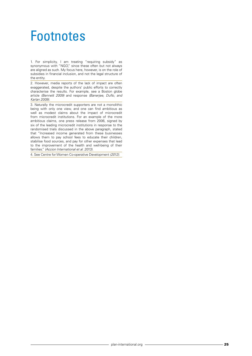### <span id="page-26-0"></span>**Footnotes**

1. For simplicity, I am treating "requiring subsidy" as synonymous with "NGO," since these often but not always are aligned as such. My focus here, however, is on the role of subsidies in financial inclusion, and not the legal structure of the entity.

2. However, media reports of the lack of impact are often exaggerated, despite the authors' public efforts to correctly characterise the results. For example, see a Boston globe article *(Bennett 2009)* and response *(Banerjee, Duflo, and Karlan 2009)*.

3. Naturally the microcredit supporters are not a monolithic being with only one view, and one can find ambitious as well as modest claims about the impact of microcredit from microcredit institutions. For an example of the more ambitious claims, one press release from 2006, signed by six of the leading microcredit institutions in response to the randomised trials discussed in the above paragraph, stated that "Increased income generated from these businesses allows them to pay school fees to educate their children, stabilise food sources, and pay for other expenses that lead to the improvement of the health and well-being of their families." *(Accion International et al. 2013)*.

4. See Centre for Women Co-operative Development *(2012)*.